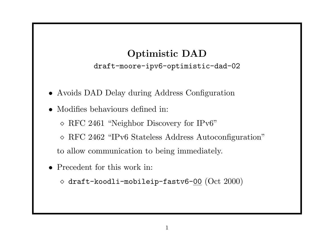#### Optimistic DAD

draft-moore-ipv6-optimistic-dad-02

- Avoids DAD Delay during Address Configuration
- Modifies behaviours defined in:
	- RFC 2461 "Neighbor Discovery for IPv6"
	- RFC 2462 "IPv6 Stateless Address Autoconfiguration"

to allow communication to being immediately.

- Precedent for this work in:
	- $\Diamond$  draft-koodli-mobileip-fastv6-00 (Oct 2000)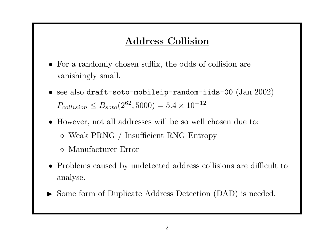#### Address Collision

- For a randomly chosen suffix, the odds of collision are vanishingly small.
- see also draft-soto-mobileip-random-iids-00  $(Jan\ 2002)$  $P_{collision} \leq B_{soto}(2^{62}, 5000) = 5.4 \times 10^{-12}$
- However, not all addresses will be so well chosen due to: Weak PRNG / Insufficient RNG Entropy
	- Manufacturer Error
- Problems caused by undetected address collisions are difficult to analyse.
- ▶ Some form of Duplicate Address Detection (DAD) is needed.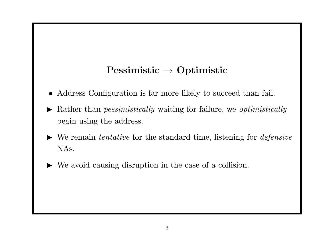# Pessimistic → Optimistic

- Address Configuration is far more likely to succeed than fail.
- $\blacktriangleright$  Rather than *pessimistically* waiting for failure, we *optimistically* begin using the address.
- $\blacktriangleright$  We remain *tentative* for the standard time, listening for *defensive* NAs.
	- We avoid causing disruption in the case of a collision.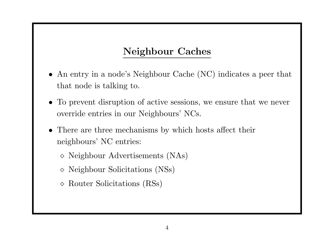### Neighbour Caches

- An entry in a node's Neighbour Cache (NC) indicates a peer that that node is talking to.
- To prevent disruption of active sessions, we ensure that we never override entries in our Neighbours' NCs.
- There are three mechanisms by which hosts affect their neighbours' NC entries:
	- $\diamond$  Neighbour Advertisements (NAs)
	- $\diamond$  Neighbour Solicitations (NSs)
	- Router Solicitations (RSs)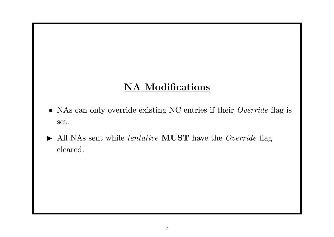#### NA Modifications

- NAs can only override existing NC entries if their Override flag is set.
- $\blacktriangleright$  All NAs sent while *tentative* **MUST** have the *Override* flag cleared.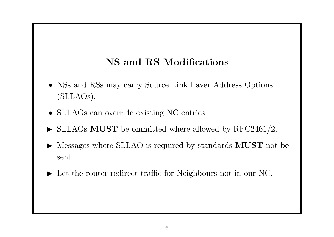## NS and RS Modifications

- NSs and RSs may carry Source Link Layer Address Options (SLLAOs).
- SLLAOs can override existing NC entries.
- $\triangleright$  SLLAOs MUST be ommitted where allowed by RFC2461/2.
- $\triangleright$  Messages where SLLAO is required by standards **MUST** not be sent.
- In Let the router redirect traffic for Neighbours not in our NC.